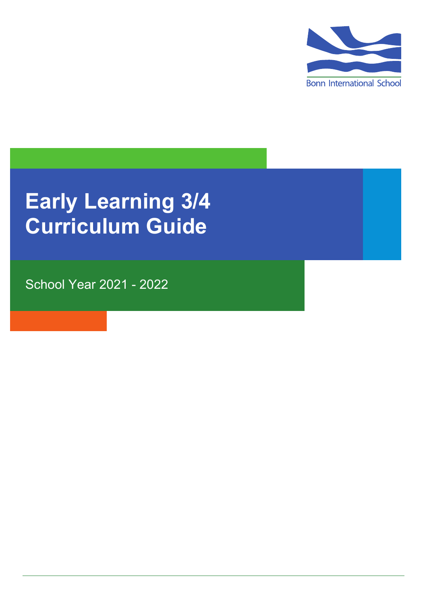

# **Early Learning 3/4 Curriculum Guide**

School Year 2021 - 2022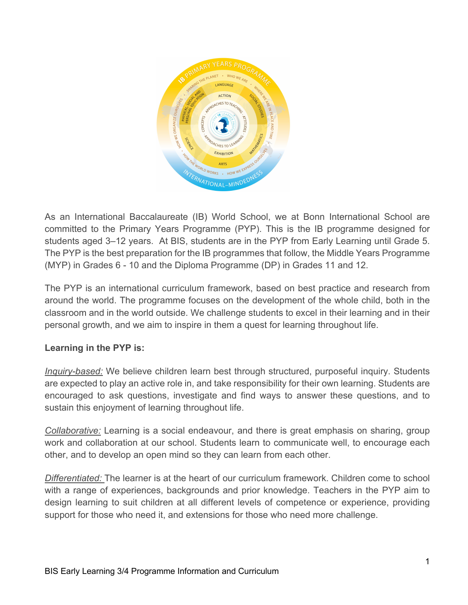

As an International Baccalaureate (IB) World School, we at Bonn International School are committed to the Primary Years Programme (PYP). This is the IB programme designed for students aged 3–12 years. At BIS, students are in the PYP from Early Learning until Grade 5. The PYP is the best preparation for the IB programmes that follow, the Middle Years Programme (MYP) in Grades 6 - 10 and the Diploma Programme (DP) in Grades 11 and 12.

The PYP is an international curriculum framework, based on best practice and research from around the world. The programme focuses on the development of the whole child, both in the classroom and in the world outside. We challenge students to excel in their learning and in their personal growth, and we aim to inspire in them a quest for learning throughout life.

# **Learning in the PYP is:**

*Inquiry-based:* We believe children learn best through structured, purposeful inquiry. Students are expected to play an active role in, and take responsibility for their own learning. Students are encouraged to ask questions, investigate and find ways to answer these questions, and to sustain this enjoyment of learning throughout life.

*Collaborative:* Learning is a social endeavour, and there is great emphasis on sharing, group work and collaboration at our school. Students learn to communicate well, to encourage each other, and to develop an open mind so they can learn from each other.

*Differentiated:* The learner is at the heart of our curriculum framework. Children come to school with a range of experiences, backgrounds and prior knowledge. Teachers in the PYP aim to design learning to suit children at all different levels of competence or experience, providing support for those who need it, and extensions for those who need more challenge.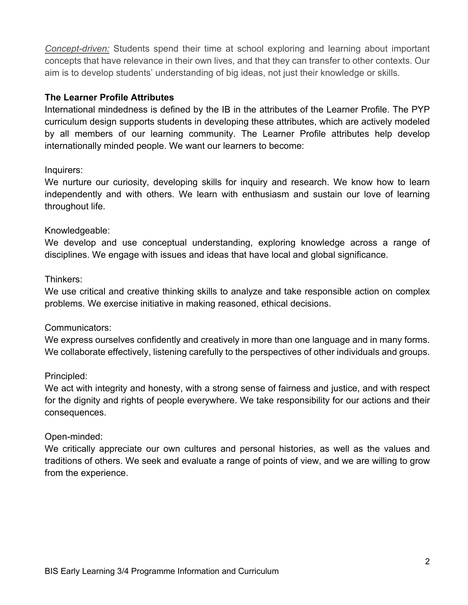*Concept-driven:* Students spend their time at school exploring and learning about important concepts that have relevance in their own lives, and that they can transfer to other contexts. Our aim is to develop students' understanding of big ideas, not just their knowledge or skills.

# **The Learner Profile Attributes**

International mindedness is defined by the IB in the attributes of the Learner Profile. The PYP curriculum design supports students in developing these attributes, which are actively modeled by all members of our learning community. The Learner Profile attributes help develop internationally minded people. We want our learners to become:

# Inquirers:

We nurture our curiosity, developing skills for inquiry and research. We know how to learn independently and with others. We learn with enthusiasm and sustain our love of learning throughout life.

# Knowledgeable:

We develop and use conceptual understanding, exploring knowledge across a range of disciplines. We engage with issues and ideas that have local and global significance.

# Thinkers:

We use critical and creative thinking skills to analyze and take responsible action on complex problems. We exercise initiative in making reasoned, ethical decisions.

#### Communicators:

We express ourselves confidently and creatively in more than one language and in many forms. We collaborate effectively, listening carefully to the perspectives of other individuals and groups.

#### Principled:

We act with integrity and honesty, with a strong sense of fairness and justice, and with respect for the dignity and rights of people everywhere. We take responsibility for our actions and their consequences.

#### Open-minded:

We critically appreciate our own cultures and personal histories, as well as the values and traditions of others. We seek and evaluate a range of points of view, and we are willing to grow from the experience.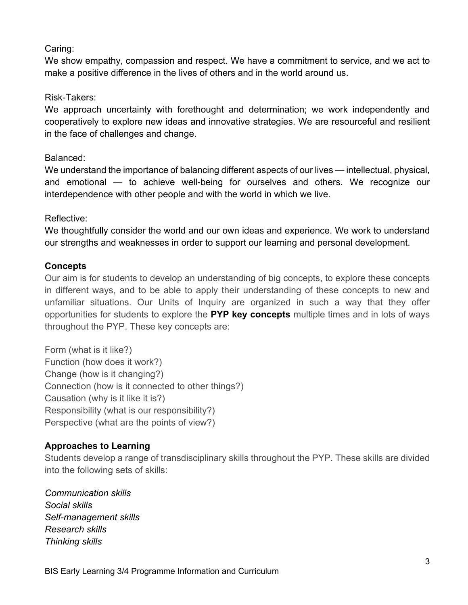# Caring:

We show empathy, compassion and respect. We have a commitment to service, and we act to make a positive difference in the lives of others and in the world around us.

#### Risk-Takers:

We approach uncertainty with forethought and determination; we work independently and cooperatively to explore new ideas and innovative strategies. We are resourceful and resilient in the face of challenges and change.

# Balanced:

We understand the importance of balancing different aspects of our lives — intellectual, physical, and emotional — to achieve well-being for ourselves and others. We recognize our interdependence with other people and with the world in which we live.

# Reflective:

We thoughtfully consider the world and our own ideas and experience. We work to understand our strengths and weaknesses in order to support our learning and personal development.

# **Concepts**

Our aim is for students to develop an understanding of big concepts, to explore these concepts in different ways, and to be able to apply their understanding of these concepts to new and unfamiliar situations. Our Units of Inquiry are organized in such a way that they offer opportunities for students to explore the **PYP key concepts** multiple times and in lots of ways throughout the PYP. These key concepts are:

Form (what is it like?) Function (how does it work?) Change (how is it changing?) Connection (how is it connected to other things?) Causation (why is it like it is?) Responsibility (what is our responsibility?) Perspective (what are the points of view?)

# **Approaches to Learning**

Students develop a range of transdisciplinary skills throughout the PYP. These skills are divided into the following sets of skills:

*Communication skills Social skills Self-management skills Research skills Thinking skills*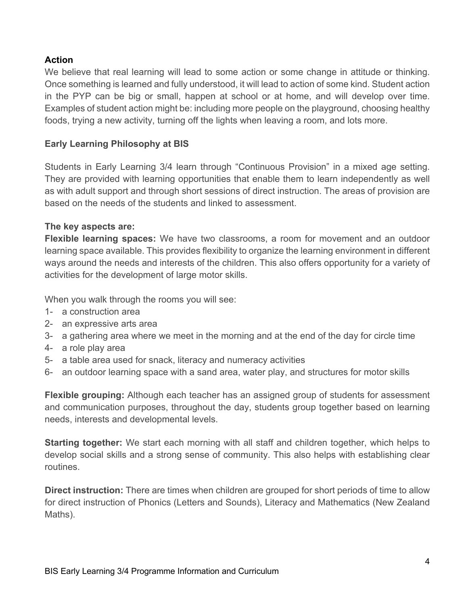# **Action**

We believe that real learning will lead to some action or some change in attitude or thinking. Once something is learned and fully understood, it will lead to action of some kind. Student action in the PYP can be big or small, happen at school or at home, and will develop over time. Examples of student action might be: including more people on the playground, choosing healthy foods, trying a new activity, turning off the lights when leaving a room, and lots more.

# **Early Learning Philosophy at BIS**

Students in Early Learning 3/4 learn through "Continuous Provision" in a mixed age setting. They are provided with learning opportunities that enable them to learn independently as well as with adult support and through short sessions of direct instruction. The areas of provision are based on the needs of the students and linked to assessment.

# **The key aspects are:**

**Flexible learning spaces:** We have two classrooms, a room for movement and an outdoor learning space available. This provides flexibility to organize the learning environment in different ways around the needs and interests of the children. This also offers opportunity for a variety of activities for the development of large motor skills.

When you walk through the rooms you will see:

- 1- a construction area
- 2- an expressive arts area
- 3- a gathering area where we meet in the morning and at the end of the day for circle time
- 4- a role play area
- 5- a table area used for snack, literacy and numeracy activities
- 6- an outdoor learning space with a sand area, water play, and structures for motor skills

**Flexible grouping:** Although each teacher has an assigned group of students for assessment and communication purposes, throughout the day, students group together based on learning needs, interests and developmental levels.

**Starting together:** We start each morning with all staff and children together, which helps to develop social skills and a strong sense of community. This also helps with establishing clear routines.

**Direct instruction:** There are times when children are grouped for short periods of time to allow for direct instruction of Phonics (Letters and Sounds), Literacy and Mathematics (New Zealand Maths).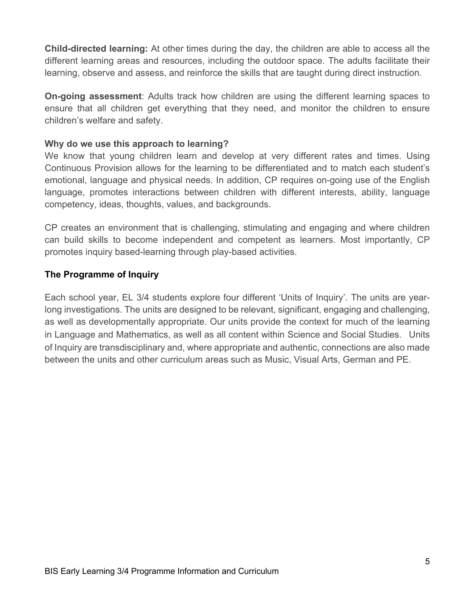**Child-directed learning:** At other times during the day, the children are able to access all the different learning areas and resources, including the outdoor space. The adults facilitate their learning, observe and assess, and reinforce the skills that are taught during direct instruction.

**On-going assessment**: Adults track how children are using the different learning spaces to ensure that all children get everything that they need, and monitor the children to ensure children's welfare and safety.

# **Why do we use this approach to learning?**

We know that young children learn and develop at very different rates and times. Using Continuous Provision allows for the learning to be differentiated and to match each student's emotional, language and physical needs. In addition, CP requires on-going use of the English language, promotes interactions between children with different interests, ability, language competency, ideas, thoughts, values, and backgrounds.

CP creates an environment that is challenging, stimulating and engaging and where children can build skills to become independent and competent as learners. Most importantly, CP promotes inquiry based-learning through play-based activities.

# **The Programme of Inquiry**

Each school year, EL 3/4 students explore four different 'Units of Inquiry'. The units are yearlong investigations. The units are designed to be relevant, significant, engaging and challenging, as well as developmentally appropriate. Our units provide the context for much of the learning in Language and Mathematics, as well as all content within Science and Social Studies. Units of Inquiry are transdisciplinary and, where appropriate and authentic, connections are also made between the units and other curriculum areas such as Music, Visual Arts, German and PE.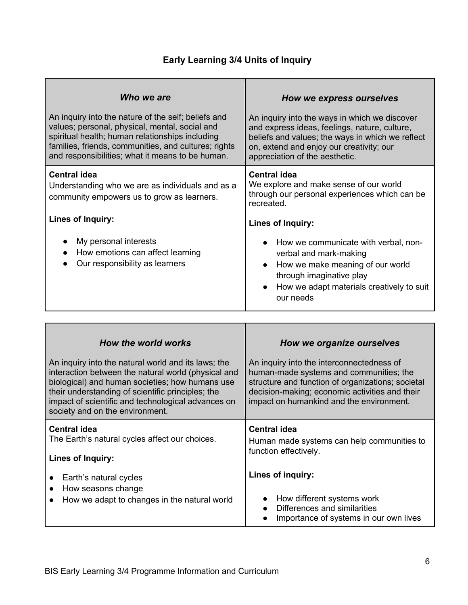# **Early Learning 3/4 Units of Inquiry**

| Who we are                                                                                                                                                                                                                                | How we express ourselves                                                                                                                                                                                                                                                                                                                             |
|-------------------------------------------------------------------------------------------------------------------------------------------------------------------------------------------------------------------------------------------|------------------------------------------------------------------------------------------------------------------------------------------------------------------------------------------------------------------------------------------------------------------------------------------------------------------------------------------------------|
| An inquiry into the nature of the self; beliefs and                                                                                                                                                                                       | An inquiry into the ways in which we discover                                                                                                                                                                                                                                                                                                        |
| values; personal, physical, mental, social and                                                                                                                                                                                            | and express ideas, feelings, nature, culture,                                                                                                                                                                                                                                                                                                        |
| spiritual health; human relationships including                                                                                                                                                                                           | beliefs and values; the ways in which we reflect                                                                                                                                                                                                                                                                                                     |
| families, friends, communities, and cultures; rights                                                                                                                                                                                      | on, extend and enjoy our creativity; our                                                                                                                                                                                                                                                                                                             |
| and responsibilities; what it means to be human.                                                                                                                                                                                          | appreciation of the aesthetic.                                                                                                                                                                                                                                                                                                                       |
| <b>Central idea</b><br>Understanding who we are as individuals and as a<br>community empowers us to grow as learners.<br>Lines of Inquiry:<br>My personal interests<br>How emotions can affect learning<br>Our responsibility as learners | <b>Central idea</b><br>We explore and make sense of our world<br>through our personal experiences which can be<br>recreated.<br><b>Lines of Inquiry:</b><br>How we communicate with verbal, non-<br>verbal and mark-making<br>How we make meaning of our world<br>through imaginative play<br>How we adapt materials creatively to suit<br>our needs |
| How the world works                                                                                                                                                                                                                       | How we organize ourselves                                                                                                                                                                                                                                                                                                                            |
| An inquiry into the natural world and its laws; the                                                                                                                                                                                       | An inquiry into the interconnectedness of                                                                                                                                                                                                                                                                                                            |
| interaction between the natural world (physical and                                                                                                                                                                                       | human-made systems and communities; the                                                                                                                                                                                                                                                                                                              |
| hiological) and human socioties; how humans use                                                                                                                                                                                           | etructure and function of erganizations; societal                                                                                                                                                                                                                                                                                                    |

| biological) and human societies; how humans use<br>their understanding of scientific principles; the<br>impact of scientific and technological advances on<br>society and on the environment. | structure and function of organizations; societal<br>decision-making; economic activities and their<br>impact on humankind and the environment. |
|-----------------------------------------------------------------------------------------------------------------------------------------------------------------------------------------------|-------------------------------------------------------------------------------------------------------------------------------------------------|
| Central idea<br>The Earth's natural cycles affect our choices.                                                                                                                                | <b>Central idea</b>                                                                                                                             |
| <b>Lines of Inquiry:</b>                                                                                                                                                                      | Human made systems can help communities to<br>function effectively.                                                                             |
| Earth's natural cycles                                                                                                                                                                        | Lines of inquiry:                                                                                                                               |
| How seasons change<br>How we adapt to changes in the natural world                                                                                                                            | How different systems work                                                                                                                      |
|                                                                                                                                                                                               | Differences and similarities<br>Importance of systems in our own lives<br>$\bullet$                                                             |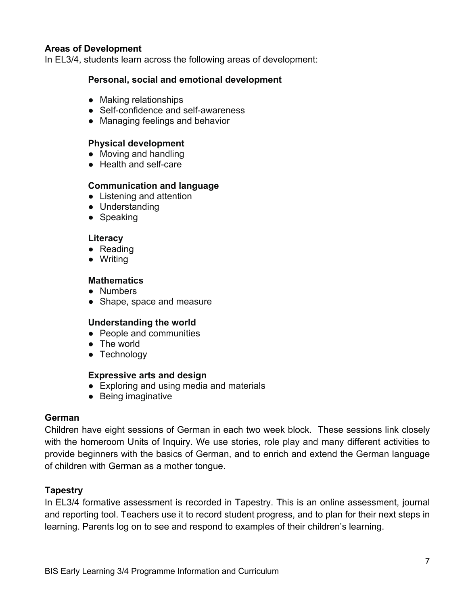#### **Areas of Development**

In EL3/4, students learn across the following areas of development:

#### **Personal, social and emotional development**

- Making relationships
- Self-confidence and self-awareness
- Managing feelings and behavior

#### **Physical development**

- Moving and handling
- Health and self-care

# **Communication and language**

- Listening and attention
- Understanding
- Speaking

#### **Literacy**

- Reading
- Writing

#### **Mathematics**

- Numbers
- Shape, space and measure

#### **Understanding the world**

- People and communities
- The world
- Technology

#### **Expressive arts and design**

- Exploring and using media and materials
- Being imaginative

#### **German**

Children have eight sessions of German in each two week block. These sessions link closely with the homeroom Units of Inquiry. We use stories, role play and many different activities to provide beginners with the basics of German, and to enrich and extend the German language of children with German as a mother tongue.

#### **Tapestry**

In EL3/4 formative assessment is recorded in Tapestry. This is an online assessment, journal and reporting tool. Teachers use it to record student progress, and to plan for their next steps in learning. Parents log on to see and respond to examples of their children's learning.